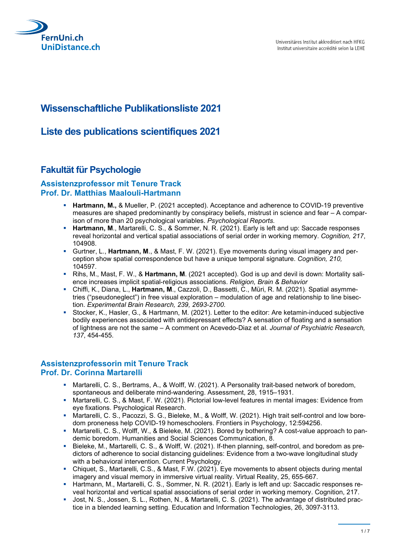

# Wissenschaftliche Publikationsliste 2021

## Liste des publications scientifiques 2021

## Fakultät für Psychologie

#### Assistenzprofessor mit Tenure Track Prof. Dr. Matthias Maalouli-Hartmann

- **Hartmann, M., & Mueller, P. (2021 accepted). Acceptance and adherence to COVID-19 preventive** 
	- measures are shaped predominantly by conspiracy beliefs, mistrust in science and fear A comparison of more than 20 psychological variables. Psychological Reports.
	- **Hartmann, M., Martarelli, C. S., & Sommer, N. R. (2021). Early is left and up: Saccade responses** reveal horizontal and vertical spatial associations of serial order in working memory. Cognition, 217, 104908.
	- Gurtner, L., Hartmann, M., & Mast, F. W. (2021). Eye movements during visual imagery and perception show spatial correspondence but have a unique temporal signature. Cognition, 210, 104597.
	- Rihs, M., Mast, F. W., & Hartmann, M. (2021 accepted). God is up and devil is down: Mortality salience increases implicit spatial-religious associations. Religion, Brain & Behavior
	- Chiffi, K., Diana, L., Hartmann, M., Cazzoli, D., Bassetti, C., Müri, R. M. (2021). Spatial asymmetries ("pseudoneglect") in free visual exploration – modulation of age and relationship to line bisection. Experimental Brain Research, 239, 2693-2700.
	- Stocker, K., Hasler, G., & Hartmann, M. (2021). Letter to the editor: Are ketamin-induced subjective bodily experiences associated with antidepressant effects? A sensation of floating and a sensation of lightness are not the same – A comment on Acevedo-Diaz et al. Journal of Psychiatric Research, 137, 454-455.

### Assistenzprofessorin mit Tenure Track Prof. Dr. Corinna Martarelli

- Martarelli, C. S., Bertrams, A., & Wolff, W. (2021). A Personality trait-based network of boredom, spontaneous and deliberate mind-wandering. Assessment, 28, 1915–1931.
- Martarelli, C. S., & Mast, F. W. (2021). Pictorial low-level features in mental images: Evidence from eye fixations. Psychological Research.
- Martarelli, C. S., Pacozzi, S. G., Bieleke, M., & Wolff, W. (2021). High trait self-control and low boredom proneness help COVID-19 homeschoolers. Frontiers in Psychology, 12:594256.
- **Martarelli, C. S., Wolff, W., & Bieleke, M. (2021). Bored by bothering? A cost-value approach to pan**demic boredom. Humanities and Social Sciences Communication, 8.
- Bieleke, M., Martarelli, C. S., & Wolff, W. (2021). If-then planning, self-control, and boredom as predictors of adherence to social distancing guidelines: Evidence from a two-wave longitudinal study with a behavioral intervention. Current Psychology.
- Chiquet, S., Martarelli, C.S., & Mast, F.W. (2021). Eye movements to absent objects during mental imagery and visual memory in immersive virtual reality. Virtual Reality, 25, 655-667.
- Hartmann, M., Martarelli, C. S., Sommer, N. R. (2021). Early is left and up: Saccadic responses reveal horizontal and vertical spatial associations of serial order in working memory. Cognition, 217.
- **Jost, N. S., Jossen, S. L., Rothen, N., & Martarelli, C. S. (2021). The advantage of distributed prac**tice in a blended learning setting. Education and Information Technologies, 26, 3097-3113.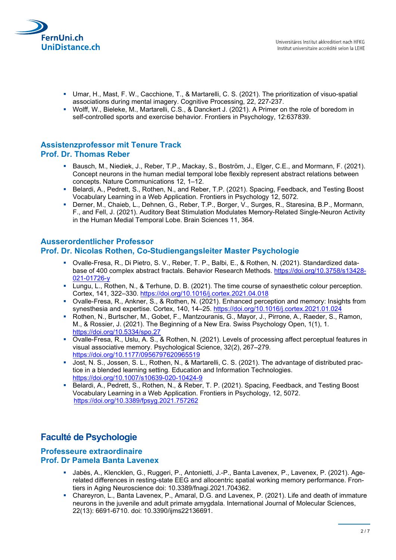

- Umar, H., Mast, F. W., Cacchione, T., & Martarelli, C. S. (2021). The prioritization of visuo-spatial associations during mental imagery. Cognitive Processing, 22, 227-237.
- Wolff, W., Bieleke, M., Martarelli, C.S., & Danckert J. (2021). A Primer on the role of boredom in self-controlled sports and exercise behavior. Frontiers in Psychology, 12:637839.

### Assistenzprofessor mit Tenure Track Prof. Dr. Thomas Reber

- Bausch, M., Niediek, J., Reber, T.P., Mackay, S., Boström, J., Elger, C.E., and Mormann, F. (2021). Concept neurons in the human medial temporal lobe flexibly represent abstract relations between concepts. Nature Communications 12, 1–12.
- Belardi, A., Pedrett, S., Rothen, N., and Reber, T.P. (2021). Spacing, Feedback, and Testing Boost Vocabulary Learning in a Web Application. Frontiers in Psychology 12, 5072.
- Derner, M., Chaieb, L., Dehnen, G., Reber, T.P., Borger, V., Surges, R., Staresina, B.P., Mormann, F., and Fell, J. (2021). Auditory Beat Stimulation Modulates Memory-Related Single-Neuron Activity in the Human Medial Temporal Lobe. Brain Sciences 11, 364.

#### Ausserordentlicher Professor Prof. Dr. Nicolas Rothen, Co-Studiengangsleiter Master Psychologie

- Ovalle-Fresa, R., Di Pietro, S. V., Reber, T. P., Balbi, E., & Rothen, N. (2021). Standardized database of 400 complex abstract fractals. Behavior Research Methods. https://doi.org/10.3758/s13428- 021-01726-y
- Lungu, L., Rothen, N., & Terhune, D. B. (2021). The time course of synaesthetic colour perception. Cortex, 141, 322–330. https://doi.org/10.1016/j.cortex.2021.04.018
- Ovalle-Fresa, R., Ankner, S., & Rothen, N. (2021). Enhanced perception and memory: Insights from synesthesia and expertise. Cortex, 140, 14–25. https://doi.org/10.1016/j.cortex.2021.01.024
- Rothen, N., Burtscher, M., Gobet, F., Mantzouranis, G., Mayor, J., Pirrone, A., Raeder, S., Ramon, M., & Rossier, J. (2021). The Beginning of a New Era. Swiss Psychology Open, 1(1), 1. https://doi.org/10.5334/spo.27
- Ovalle-Fresa, R., Uslu, A. S., & Rothen, N. (2021). Levels of processing affect perceptual features in visual associative memory. Psychological Science, 32(2), 267–279. https://doi.org/10.1177/0956797620965519
- Jost, N. S., Jossen, S. L., Rothen, N., & Martarelli, C. S. (2021). The advantage of distributed practice in a blended learning setting. Education and Information Technologies. https://doi.org/10.1007/s10639-020-10424-9
- Belardi, A., Pedrett, S., Rothen, N., & Reber, T. P. (2021). Spacing, Feedback, and Testing Boost Vocabulary Learning in a Web Application. Frontiers in Psychology, 12, 5072. https://doi.org/10.3389/fpsyg.2021.757262

# Faculté de Psychologie

#### Professeure extraordinaire Prof. Dr Pamela Banta Lavenex

- Jabès, A., Klencklen, G., Ruggeri, P., Antonietti, J.-P., Banta Lavenex, P., Lavenex, P. (2021). Agerelated differences in resting-state EEG and allocentric spatial working memory performance. Frontiers in Aging Neuroscience doi: 10.3389/fnagi.2021.704362.
- Chareyron, L., Banta Lavenex, P., Amaral, D.G. and Lavenex, P. (2021). Life and death of immature neurons in the juvenile and adult primate amygdala. International Journal of Molecular Sciences, 22(13): 6691-6710. doi: 10.3390/ijms22136691.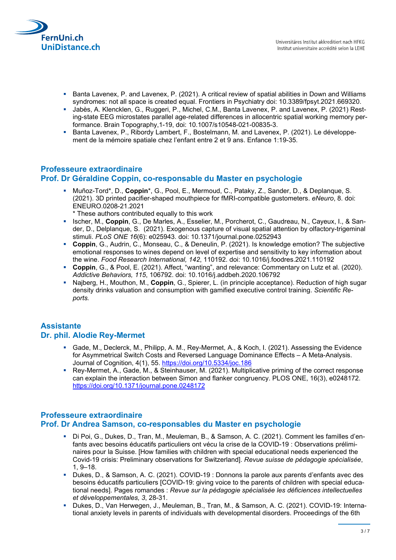

- Banta Lavenex, P. and Lavenex, P. (2021). A critical review of spatial abilities in Down and Williams syndromes: not all space is created equal. Frontiers in Psychiatry doi: 10.3389/fpsyt.2021.669320.
- Jabès, A. Klencklen, G., Ruggeri, P., Michel, C.M., Banta Lavenex, P. and Lavenex, P. (2021) Resting-state EEG microstates parallel age-related differences in allocentric spatial working memory performance. Brain Topography,1-19, doi: 10.1007/s10548-021-00835-3.
- Banta Lavenex, P., Ribordy Lambert, F., Bostelmann, M. and Lavenex, P. (2021). Le développement de la mémoire spatiale chez l'enfant entre 2 et 9 ans. Enfance 1:19-35.

### Professeure extraordinaire Prof. Dr Géraldine Coppin, co-responsable du Master en psychologie

- Muñoz-Tord\*, D., Coppin\*, G., Pool, E., Mermoud, C., Pataky, Z., Sander, D., & Deplanque, S. (2021). 3D printed pacifier-shaped mouthpiece for fMRI-compatible gustometers. eNeuro, 8. doi: ENEURO.0208-21.2021
	- \* These authors contributed equally to this work
- Ischer, M., Coppin, G., De Marles, A., Esselier, M., Porcherot, C., Gaudreau, N., Cayeux, I., & Sander, D., Delplanque, S. (2021). Exogenous capture of visual spatial attention by olfactory-trigeminal stimuli. PLoS ONE 16(6): e025943. doi: 10.1371/journal.pone.0252943
- Coppin, G., Audrin, C., Monseau, C., & Deneulin, P. (2021). Is knowledge emotion? The subjective emotional responses to wines depend on level of expertise and sensitivity to key information about the wine. Food Research International, 142, 110192. doi: 10.1016/j.foodres.2021.110192
- Coppin, G., & Pool, E. (2021). Affect, "wanting", and relevance: Commentary on Lutz et al. (2020). Addictive Behaviors, 115, 106792. doi: 10.1016/j.addbeh.2020.106792
- Najberg, H., Mouthon, M., Coppin, G., Spierer, L. (in principle acceptance). Reduction of high sugar density drinks valuation and consumption with gamified executive control training. Scientific Reports.

## **Assistante**

#### Dr. phil. Alodie Rey-Mermet

- Gade, M., Declerck, M., Philipp, A. M., Rey-Mermet, A., & Koch, I. (2021). Assessing the Evidence for Asymmetrical Switch Costs and Reversed Language Dominance Effects – A Meta-Analysis. Journal of Cognition, 4(1), 55. https://doi.org/10.5334/joc.186
- Rey-Mermet, A., Gade, M., & Steinhauser, M. (2021). Multiplicative priming of the correct response can explain the interaction between Simon and flanker congruency. PLOS ONE, 16(3), e0248172. https://doi.org/10.1371/journal.pone.0248172

### Professeure extraordinaire Prof. Dr Andrea Samson, co-responsables du Master en psychologie

- Di Poi, G., Dukes, D., Tran, M., Meuleman, B., & Samson, A. C. (2021). Comment les familles d'enfants avec besoins éducatifs particuliers ont vécu la crise de la COVID-19 : Observations préliminaires pour la Suisse. [How families with children with special educational needs experienced the Covid-19 crisis: Preliminary observations for Switzerland]. Revue suisse de pédagogie spécialisée, 1, 9–18.
- Dukes, D., & Samson, A. C. (2021). COVID-19 : Donnons la parole aux parents d'enfants avec des besoins éducatifs particuliers [COVID-19: giving voice to the parents of children with special educational needs]. Pages romandes : Revue sur la pédagogie spécialisée les déficiences intellectuelles et développementales, 3, 28-31.
- Dukes, D., Van Herwegen, J., Meuleman, B., Tran, M., & Samson, A. C. (2021). COVID-19: International anxiety levels in parents of individuals with developmental disorders. Proceedings of the 6th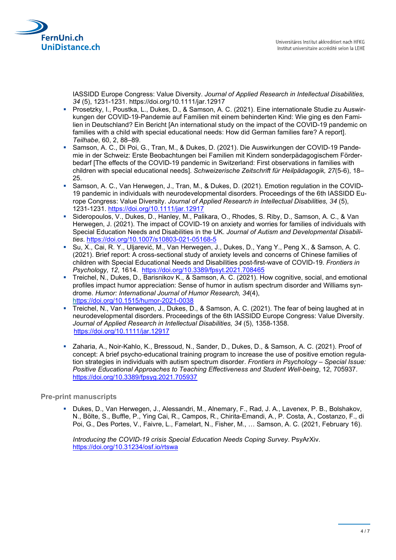

IASSIDD Europe Congress: Value Diversity. Journal of Applied Research in Intellectual Disabilities, 34 (5), 1231-1231. https://doi.org/10.1111/jar.12917

- Prosetzky, I., Poustka, L., Dukes, D., & Samson, A. C. (2021). Eine internationale Studie zu Auswirkungen der COVID-19-Pandemie auf Familien mit einem behinderten Kind: Wie ging es den Familien in Deutschland? Ein Bericht [An international study on the impact of the COVID-19 pandemic on families with a child with special educational needs: How did German families fare? A report]. Teilhabe, 60, 2, 88–89.
- Samson, A. C., Di Poi, G., Tran, M., & Dukes, D. (2021). Die Auswirkungen der COVID-19 Pandemie in der Schweiz: Erste Beobachtungen bei Familien mit Kindern sonderpädagogischem Förderbedarf [The effects of the COVID-19 pandemic in Switzerland: First observations in families with children with special educational needs]. Schweizerische Zeitschrift für Heilpädagogik, 27(5-6), 18– 25.
- Samson, A. C., Van Herwegen, J., Tran, M., & Dukes, D. (2021). Emotion regulation in the COVID-19 pandemic in individuals with neurodevelopmental disorders. Proceedings of the 6th IASSIDD Europe Congress: Value Diversity. Journal of Applied Research in Intellectual Disabilities, 34 (5), 1231-1231. https://doi.org/10.1111/jar.12917
- Sideropoulos, V., Dukes, D., Hanley, M., Palikara, O., Rhodes, S. Riby, D., Samson, A. C., & Van Herwegen, J. (2021). The impact of COVID-19 on anxiety and worries for families of individuals with Special Education Needs and Disabilities in the UK. Journal of Autism and Developmental Disabilities. https://doi.org/10.1007/s10803-021-05168-5
- Su, X., Cai, R. Y., Uljarević, M., Van Herwegen, J., Dukes, D., Yang Y., Peng X., & Samson, A. C. (2021). Brief report: A cross-sectional study of anxiety levels and concerns of Chinese families of children with Special Educational Needs and Disabilities post-first-wave of COVID-19. Frontiers in Psychology, 12, 1614. https://doi.org/10.3389/fpsyt.2021.708465
- Treichel, N., Dukes, D., Barisnikov K., & Samson, A. C. (2021). How cognitive, social, and emotional profiles impact humor appreciation: Sense of humor in autism spectrum disorder and Williams syndrome. Humor: International Journal of Humor Research, 34(4), https://doi.org/10.1515/humor-2021-0038
- Treichel, N., Van Herwegen, J., Dukes, D., & Samson, A. C. (2021). The fear of being laughed at in neurodevelopmental disorders. Proceedings of the 6th IASSIDD Europe Congress: Value Diversity. Journal of Applied Research in Intellectual Disabilities, 34 (5), 1358-1358. https://doi.org/10.1111/jar.12917
- Zaharia, A., Noir-Kahlo, K., Bressoud, N., Sander, D., Dukes, D., & Samson, A. C. (2021). Proof of concept: A brief psycho-educational training program to increase the use of positive emotion regulation strategies in individuals with autism spectrum disorder. Frontiers in Psychology – Special Issue: Positive Educational Approaches to Teaching Effectiveness and Student Well-being, 12, 705937. https://doi.org/10.3389/fpsyg.2021.705937

#### Pre-print manuscripts

 Dukes, D., Van Herwegen, J., Alessandri, M., Alnemary, F., Rad, J. A., Lavenex, P. B., Bolshakov, N., Bölte, S., Buffle, P., Ying Cai, R., Campos, R., Chirita-Emandi, A., P. Costa, A., Costanzo, F., di Poi, G., Des Portes, V., Faivre, L., Famelart, N., Fisher, M., … Samson, A. C. (2021, February 16).

Introducing the COVID-19 crisis Special Education Needs Coping Survey. PsyArXiv. https://doi.org/10.31234/osf.io/rtswa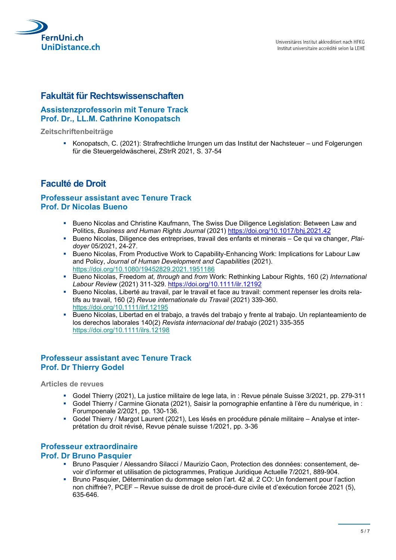

### Fakultät für Rechtswissenschaften

### Assistenzprofessorin mit Tenure Track Prof. Dr., LL.M. Cathrine Konopatsch

Zeitschriftenbeiträge

Konopatsch, C. (2021): Strafrechtliche Irrungen um das Institut der Nachsteuer – und Folgerungen für die Steuergeldwäscherei, ZStrR 2021, S. 37-54

## Faculté de Droit

#### Professeur assistant avec Tenure Track Prof. Dr Nicolas Bueno

- **Bueno Nicolas and Christine Kaufmann, The Swiss Due Diligence Legislation: Between Law and Christian** Politics, Business and Human Rights Journal (2021) https://doi.org/10.1017/bhj.2021.42
- Bueno Nicolas, Diligence des entreprises, travail des enfants et minerais Ce qui va changer, Plaidoyer 05/2021, 24-27.
- Bueno Nicolas, From Productive Work to Capability-Enhancing Work: Implications for Labour Law and Policy, Journal of Human Development and Capabilities (2021). https://doi.org/10.1080/19452829.2021.1951186
- Bueno Nicolas, Freedom at, through and from Work: Rethinking Labour Rights, 160 (2) International Labour Review (2021) 311-329. https://doi.org/10.1111/ilr.12192
- Bueno Nicolas, Liberté au travail, par le travail et face au travail: comment repenser les droits relatifs au travail, 160 (2) Revue internationale du Travail (2021) 339-360. https://doi.org/10.1111/ilrf.12195
- Bueno Nicolas, Libertad en el trabajo, a través del trabajo y frente al trabajo. Un replanteamiento de los derechos laborales 140(2) Revista internacional del trabajo (2021) 335-355 https://doi.org/10.1111/ilrs.12198

### Professeur assistant avec Tenure Track Prof. Dr Thierry Godel

Articles de revues

- Godel Thierry (2021), La justice militaire de lege lata, in : Revue pénale Suisse 3/2021, pp. 279-311
- Godel Thierry / Carmine Gionata (2021), Saisir la pornographie enfantine à l'ère du numérique, in : Forumpoenale 2/2021, pp. 130-136.
- Godel Thierry / Margot Laurent (2021), Les lésés en procédure pénale militaire Analyse et interprétation du droit révisé, Revue pénale suisse 1/2021, pp. 3-36

#### Professeur extraordinaire

#### Prof. Dr Bruno Pasquier

- Bruno Pasquier / Alessandro Silacci / Maurizio Caon, Protection des données: consentement, devoir d'informer et utilisation de pictogrammes, Pratique Juridique Actuelle 7/2021, 889-904.
- Bruno Pasquier, Détermination du dommage selon l'art. 42 al. 2 CO: Un fondement pour l'action non chiffrée?, PCEF – Revue suisse de droit de procé-dure civile et d'exécution forcée 2021 (5), 635-646.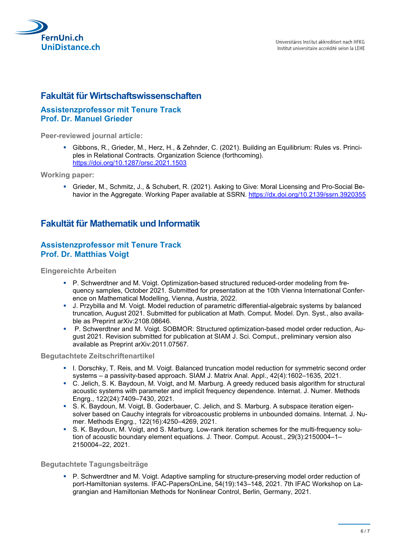

### Fakultät für Wirtschaftswissenschaften

#### Assistenzprofessor mit Tenure Track Prof. Dr. Manuel Grieder

Peer-reviewed journal article:

 Gibbons, R., Grieder, M., Herz, H., & Zehnder, C. (2021). Building an Equilibrium: Rules vs. Principles in Relational Contracts. Organization Science (forthcoming). https://doi.org/10.1287/orsc.2021.1503

Working paper:

 Grieder, M., Schmitz, J., & Schubert, R. (2021). Asking to Give: Moral Licensing and Pro-Social Behavior in the Aggregate. Working Paper available at SSRN. https://dx.doi.org/10.2139/ssrn.3920355

### Fakultät für Mathematik und Informatik

#### Assistenzprofessor mit Tenure Track Prof. Dr. Matthias Voigt

Eingereichte Arbeiten

- P. Schwerdtner and M. Voigt. Optimization-based structured reduced-order modeling from frequency samples, October 2021. Submitted for presentation at the 10th Vienna International Conference on Mathematical Modelling, Vienna, Austria, 2022.
- J. Przybilla and M. Voigt. Model reduction of parametric differential-algebraic systems by balanced truncation, August 2021. Submitted for publication at Math. Comput. Model. Dyn. Syst., also available as Preprint arXiv:2108.08646.
- P. Schwerdtner and M. Voigt. SOBMOR: Structured optimization-based model order reduction, August 2021. Revision submitted for publication at SIAM J. Sci. Comput., preliminary version also available as Preprint arXiv:2011.07567.

#### Begutachtete Zeitschriftenartikel

- I. Dorschky, T. Reis, and M. Voigt. Balanced truncation model reduction for symmetric second order systems – a passivity-based approach. SIAM J. Matrix Anal. Appl., 42(4):1602–1635, 2021.
- C. Jelich, S. K. Baydoun, M. Voigt, and M. Marburg. A greedy reduced basis algorithm for structural acoustic systems with parameter and implicit frequency dependence. Internat. J. Numer. Methods Engrg., 122(24):7409–7430, 2021.
- S. K. Baydoun, M. Voigt, B. Goderbauer, C. Jelich, and S. Marburg. A subspace iteration eigensolver based on Cauchy integrals for vibroacoustic problems in unbounded domains. Internat. J. Numer. Methods Engrg., 122(16):4250–4269, 2021.
- S. K. Baydoun, M. Voigt, and S. Marburg. Low-rank iteration schemes for the multi-frequency solution of acoustic boundary element equations. J. Theor. Comput. Acoust., 29(3):2150004–1– 2150004–22, 2021.

#### Begutachtete Tagungsbeiträge

 P. Schwerdtner and M. Voigt. Adaptive sampling for structure-preserving model order reduction of port-Hamiltonian systems. IFAC-PapersOnLine, 54(19):143–148, 2021. 7th IFAC Workshop on Lagrangian and Hamiltonian Methods for Nonlinear Control, Berlin, Germany, 2021.